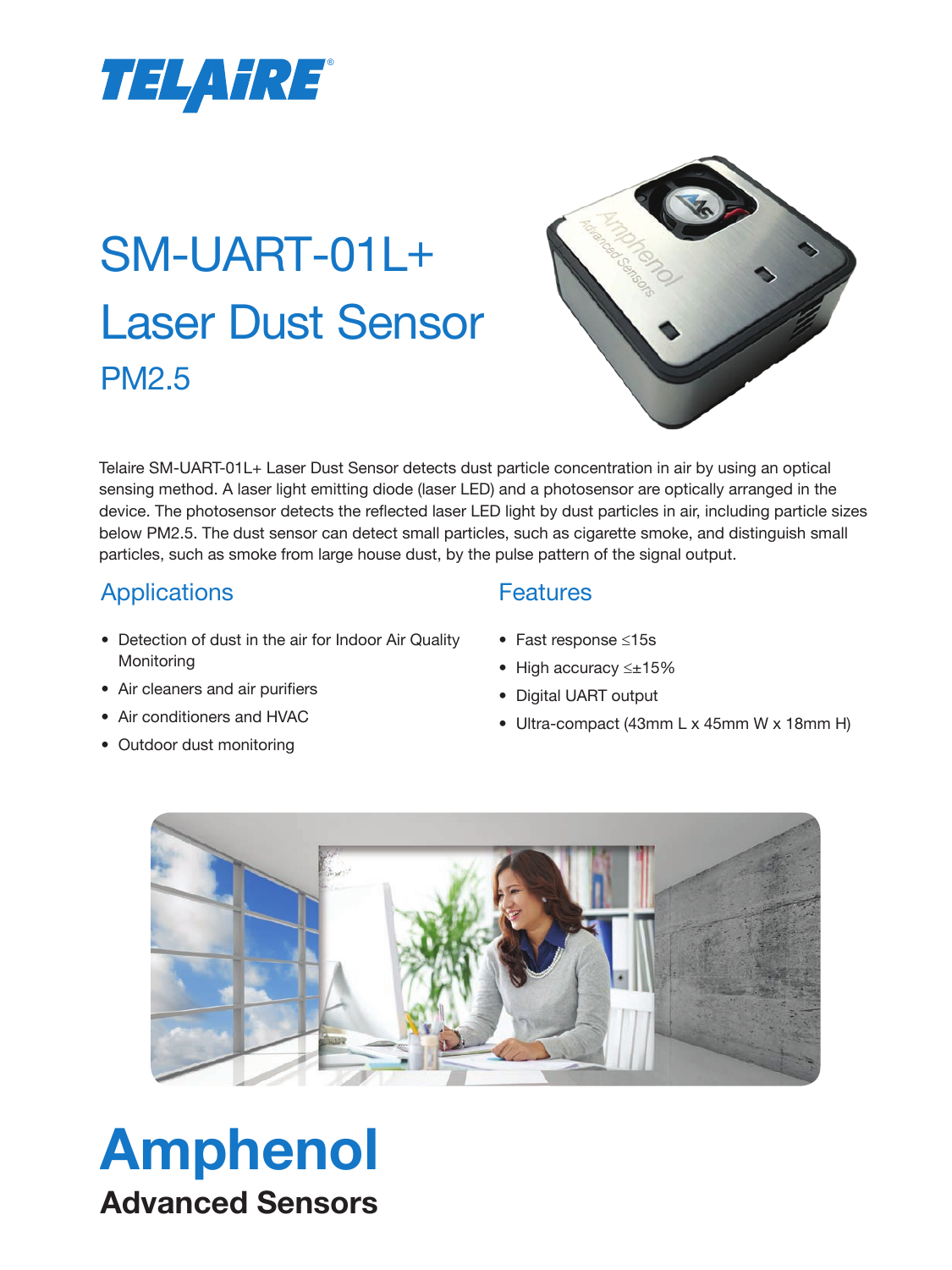

# SM-UART-01L+ Laser Dust Sensor PM2.5



Telaire SM-UART-01L+ Laser Dust Sensor detects dust particle concentration in air by using an optical sensing method. A laser light emitting diode (laser LED) and a photosensor are optically arranged in the device. The photosensor detects the reflected laser LED light by dust particles in air, including particle sizes below PM2.5. The dust sensor can detect small particles, such as cigarette smoke, and distinguish small particles, such as smoke from large house dust, by the pulse pattern of the signal output.

## Applications

- Detection of dust in the air for Indoor Air Quality **Monitoring**
- Air cleaners and air purifiers
- Air conditioners and HVAC

Amphenol

Advanced Sensors

• Outdoor dust monitoring

#### **Features**

- Fast response ≤15s
- High accuracy ≤±15%
- Digital UART output
- Ultra-compact (43mm L x 45mm W x 18mm H)

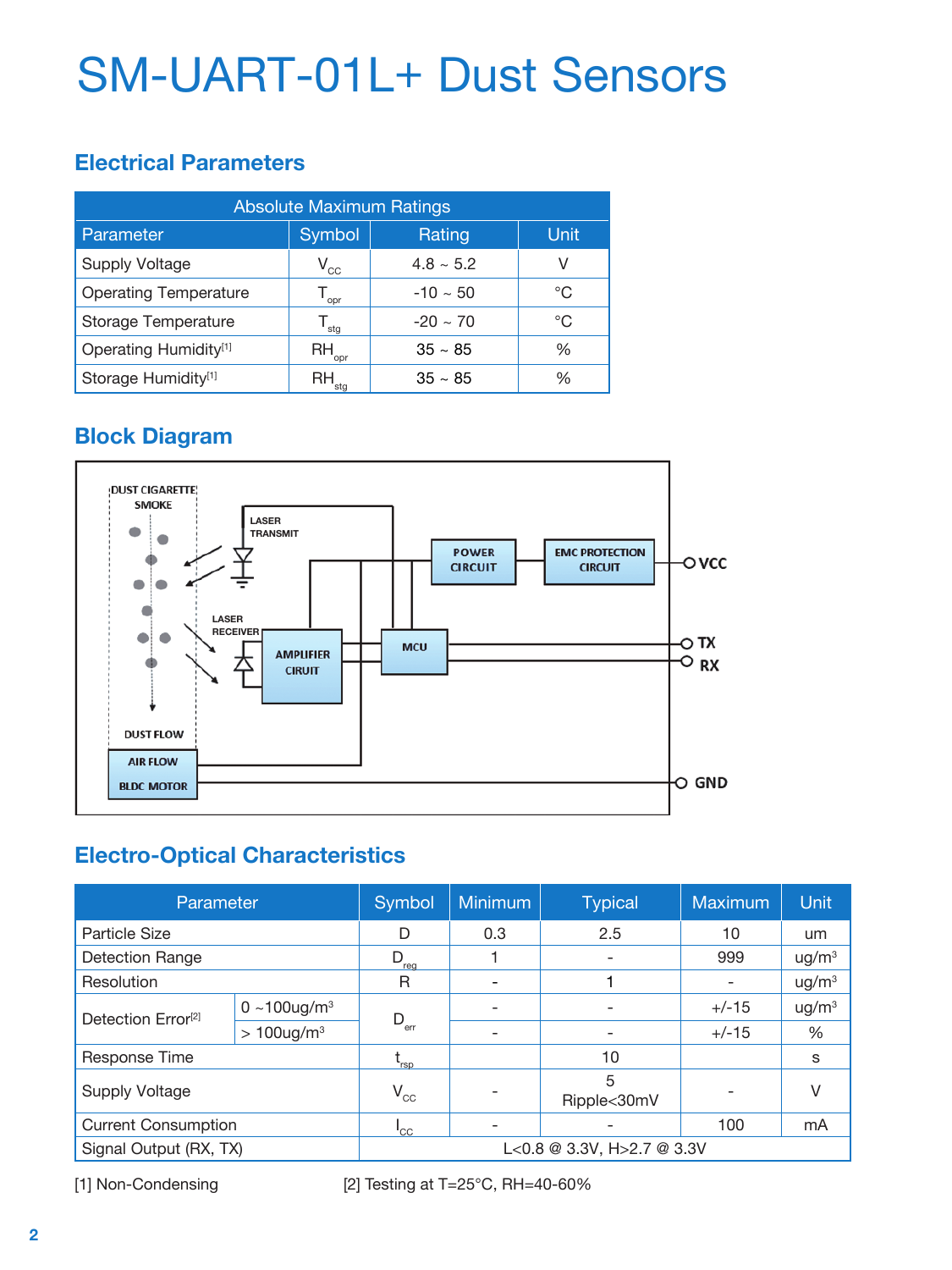# SM-UART-01L+ Dust Sensors

### **Electrical Parameters**

| <b>Absolute Maximum Ratings</b>   |                             |                |      |
|-----------------------------------|-----------------------------|----------------|------|
| Parameter                         | Symbol                      | Rating         | Unit |
| <b>Supply Voltage</b>             | $V_{_{CC}}$                 | $4.8 \sim 5.2$ | V    |
| <b>Operating Temperature</b>      | opr                         | $-10 \sim 50$  | °C   |
| <b>Storage Temperature</b>        | $\mathsf{T}_{\mathsf{stg}}$ | $-20 \sim 70$  | °C   |
| Operating Humidity <sup>[1]</sup> | RH -<br>opr                 | $35 \sim 85$   | ℅    |
| Storage Humidity <sup>[1]</sup>   | RH J                        | $35 \sim 85$   | ℅    |

# **Block Diagram**



## **Electro-Optical Characteristics**

| Parameter                                            |                          | Symbol                     | <b>Minimum</b>           | <b>Typical</b>               | Maximum | <b>Unit</b>       |
|------------------------------------------------------|--------------------------|----------------------------|--------------------------|------------------------------|---------|-------------------|
| Particle Size                                        |                          | D                          | 0.3                      | 2.5                          | 10      | um                |
| <b>Detection Range</b>                               |                          | D<br>'rea                  |                          |                              | 999     | ug/m <sup>3</sup> |
| Resolution                                           |                          | R                          | $\overline{\phantom{a}}$ |                              |         | ug/m <sup>3</sup> |
| Detection Error <sup>[2]</sup>                       | 0 ~100ug/ $m^3$          | $D_{\text{err}}$           | $\overline{\phantom{a}}$ | $\overline{\phantom{0}}$     | $+/-15$ | ug/m <sup>3</sup> |
|                                                      | $>100$ ug/m <sup>3</sup> |                            | $\overline{\phantom{a}}$ | $\qquad \qquad \blacksquare$ | $+/-15$ | %                 |
| Response Time                                        |                          | rsp <sup>-</sup>           |                          | 10                           |         | s                 |
| <b>Supply Voltage</b>                                |                          | $\mathsf{V}_{\mathrm{cc}}$ | $\overline{\phantom{0}}$ | 5<br>Ripple<30mV             |         | V                 |
| <b>Current Consumption</b>                           |                          | 'cc                        | $\overline{\phantom{0}}$ |                              | 100     | mA                |
| Signal Output (RX, TX)<br>L<0.8 @ 3.3V, H>2.7 @ 3.3V |                          |                            |                          |                              |         |                   |

[1] Non-Condensing [2] Testing at T=25°C, RH=40-60%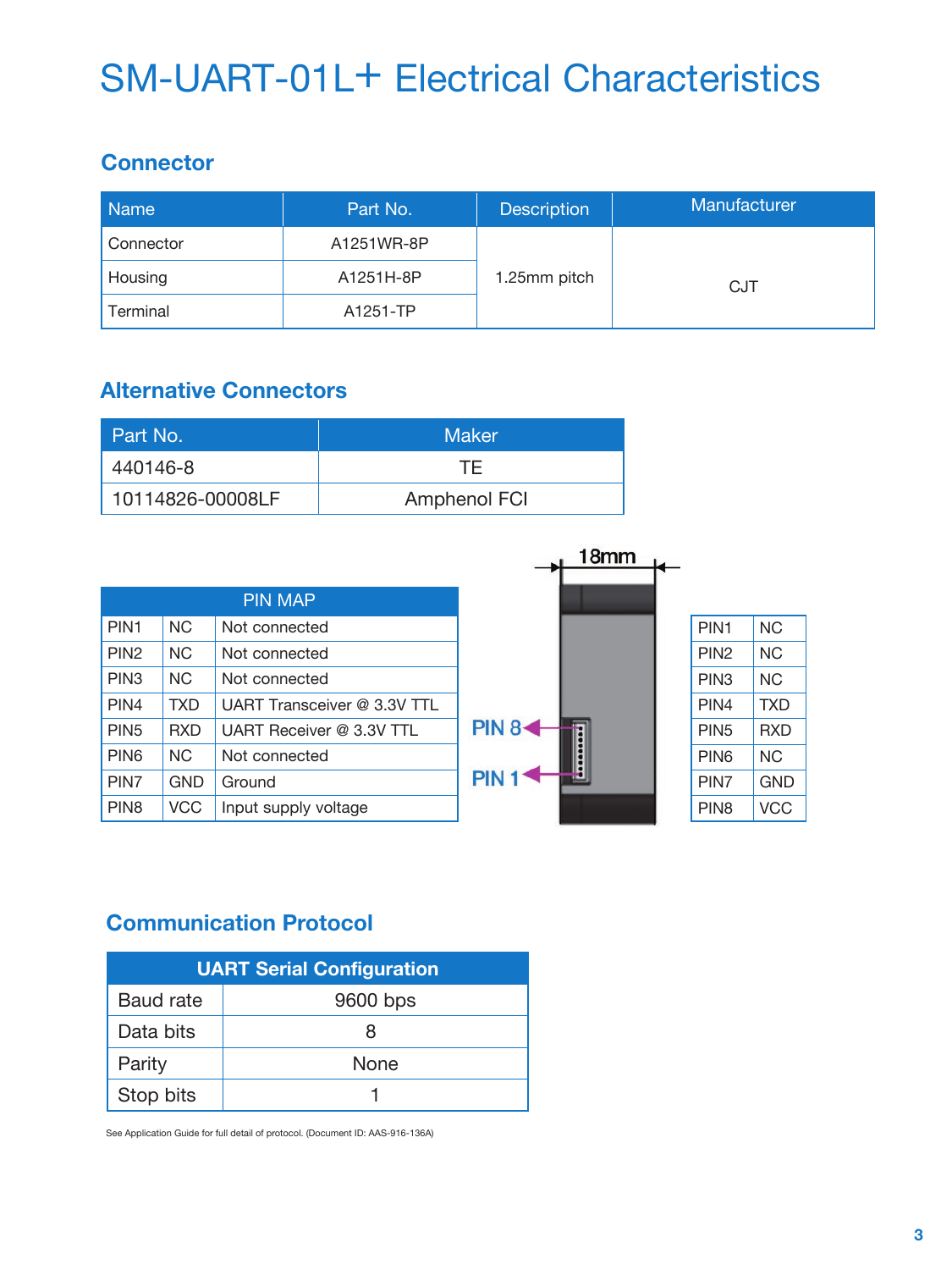# SM-UART-01L+ Electrical Characteristics

### **Connector**

| <b>Name</b> | Part No.   | <b>Description</b> | Manufacturer |
|-------------|------------|--------------------|--------------|
| Connector   | A1251WR-8P |                    |              |
| Housing     | A1251H-8P  | 1.25mm pitch       | <b>CJT</b>   |
| Terminal    | A1251-TP   |                    |              |

## **Alternative Connectors**

| Part No.         | <b>Maker</b> |
|------------------|--------------|
| 440146-8         | TF.          |
| 10114826-00008LF | Amphenol FCI |

|                  |            |                             |                  | 18 <sub>mm</sub> |                  |            |
|------------------|------------|-----------------------------|------------------|------------------|------------------|------------|
|                  |            | <b>PIN MAP</b>              |                  |                  |                  |            |
| PIN <sub>1</sub> | <b>NC</b>  | Not connected               |                  |                  | PIN <sub>1</sub> | <b>NC</b>  |
| PIN <sub>2</sub> | <b>NC</b>  | Not connected               |                  |                  | PIN <sub>2</sub> | <b>NC</b>  |
| PIN <sub>3</sub> | <b>NC</b>  | Not connected               |                  |                  | PIN <sub>3</sub> | <b>NC</b>  |
| PIN4             | <b>TXD</b> | UART Transceiver @ 3.3V TTL |                  |                  | PIN4             | <b>TXD</b> |
| PIN <sub>5</sub> | <b>RXD</b> | UART Receiver @ 3.3V TTL    | <b>PIN 8&lt;</b> |                  | PIN <sub>5</sub> | <b>RXD</b> |
| PIN <sub>6</sub> | NC.        | Not connected               |                  |                  | PIN <sub>6</sub> | <b>NC</b>  |
| PIN7             | <b>GND</b> | Ground                      | <b>PIN</b>       |                  | PIN7             | <b>GND</b> |
| PIN <sub>8</sub> | <b>VCC</b> | Input supply voltage        |                  |                  | PIN <sub>8</sub> | <b>VCC</b> |

# **Communication Protocol**

| <b>UART Serial Configuration</b> |          |  |
|----------------------------------|----------|--|
| <b>Baud rate</b>                 | 9600 bps |  |
| Data bits                        | x        |  |
| Parity                           | None     |  |
| Stop bits                        |          |  |

See Application Guide for full detail of protocol. (Document ID: AAS-916-136A)